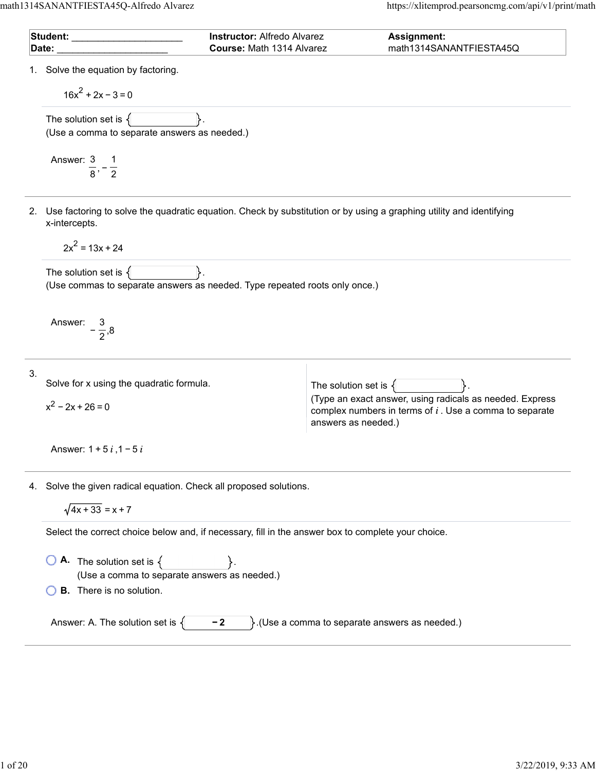| Student: Victor Communication of the Student: |                                                                                                        | <b>Instructor: Alfredo Alvarez</b> | Assignment:                                                                                                                                  |  |  |
|-----------------------------------------------|--------------------------------------------------------------------------------------------------------|------------------------------------|----------------------------------------------------------------------------------------------------------------------------------------------|--|--|
|                                               | Date:                                                                                                  | Course: Math 1314 Alvarez          | math1314SANANTFIESTA45Q                                                                                                                      |  |  |
|                                               | 1. Solve the equation by factoring.                                                                    |                                    |                                                                                                                                              |  |  |
|                                               | $16x^2 + 2x - 3 = 0$                                                                                   |                                    |                                                                                                                                              |  |  |
|                                               | The solution set is $\{$<br>(Use a comma to separate answers as needed.)                               |                                    |                                                                                                                                              |  |  |
|                                               | Answer: 3 1<br>$\frac{1}{8}$ , $\frac{1}{2}$                                                           |                                    |                                                                                                                                              |  |  |
|                                               | x-intercepts.                                                                                          |                                    | 2. Use factoring to solve the quadratic equation. Check by substitution or by using a graphing utility and identifying                       |  |  |
|                                               | $2x^2 = 13x + 24$                                                                                      |                                    |                                                                                                                                              |  |  |
|                                               | The solution set is $\{$<br>(Use commas to separate answers as needed. Type repeated roots only once.) |                                    |                                                                                                                                              |  |  |
|                                               | Answer: $-\frac{3}{2},8$                                                                               |                                    |                                                                                                                                              |  |  |
| 3.                                            | Solve for x using the quadratic formula.                                                               |                                    | The solution set is $\{\}$                                                                                                                   |  |  |
|                                               | $x^2 - 2x + 26 = 0$                                                                                    |                                    | (Type an exact answer, using radicals as needed. Express<br>complex numbers in terms of $i$ . Use a comma to separate<br>answers as needed.) |  |  |
|                                               | Answer: $1 + 5i$ , $1 - 5i$                                                                            |                                    |                                                                                                                                              |  |  |
|                                               | 4. Solve the given radical equation. Check all proposed solutions.                                     |                                    |                                                                                                                                              |  |  |
|                                               | $\sqrt{4x + 33} = x + 7$                                                                               |                                    |                                                                                                                                              |  |  |
|                                               | Select the correct choice below and, if necessary, fill in the answer box to complete your choice.     |                                    |                                                                                                                                              |  |  |
|                                               | <b>A.</b> The solution set is $\{$<br>(Use a comma to separate answers as needed.)                     |                                    |                                                                                                                                              |  |  |
|                                               | <b>B.</b> There is no solution.                                                                        |                                    |                                                                                                                                              |  |  |
|                                               | Answer: A. The solution set is $\{$                                                                    | $-2$                               | $\}$ . (Use a comma to separate answers as needed.)                                                                                          |  |  |
|                                               |                                                                                                        |                                    |                                                                                                                                              |  |  |
|                                               |                                                                                                        |                                    |                                                                                                                                              |  |  |
|                                               |                                                                                                        |                                    |                                                                                                                                              |  |  |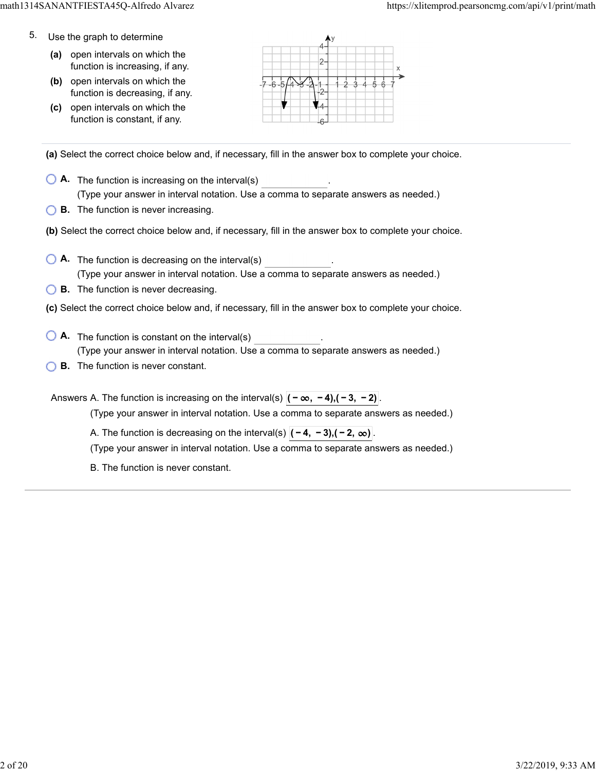- 5. Use the graph to determine
	- **(a)** open intervals on which the function is increasing, if any.
	- **(b)** open intervals on which the function is decreasing, if any.
	- **(c)** open intervals on which the function is constant, if any.



**(a)** Select the correct choice below and, if necessary, fill in the answer box to complete your choice.

- **A.** The function is increasing on the interval(s) . (Type your answer in interval notation. Use a comma to separate answers as needed.)
- **B.** The function is never increasing.
- **(b)** Select the correct choice below and, if necessary, fill in the answer box to complete your choice.
- **A.** The function is decreasing on the interval(s) . (Type your answer in interval notation. Use a comma to separate answers as needed.)
- **B.** The function is never decreasing.
- **(c)** Select the correct choice below and, if necessary, fill in the answer box to complete your choice.
- **A**. The function is constant on the interval(s) **A**. (Type your answer in interval notation. Use a comma to separate answers as needed.)
- **B.** The function is never constant.

Answers A. The function is increasing on the interval(s)  $|(-\infty, -4), (-3, -2)|$ (Type your answer in interval notation. Use a comma to separate answers as needed.) A. The function is decreasing on the interval(s)  $|(-4, -3), (-2, \infty)|$ . (Type your answer in interval notation. Use a comma to separate answers as needed.) B. The function is never constant.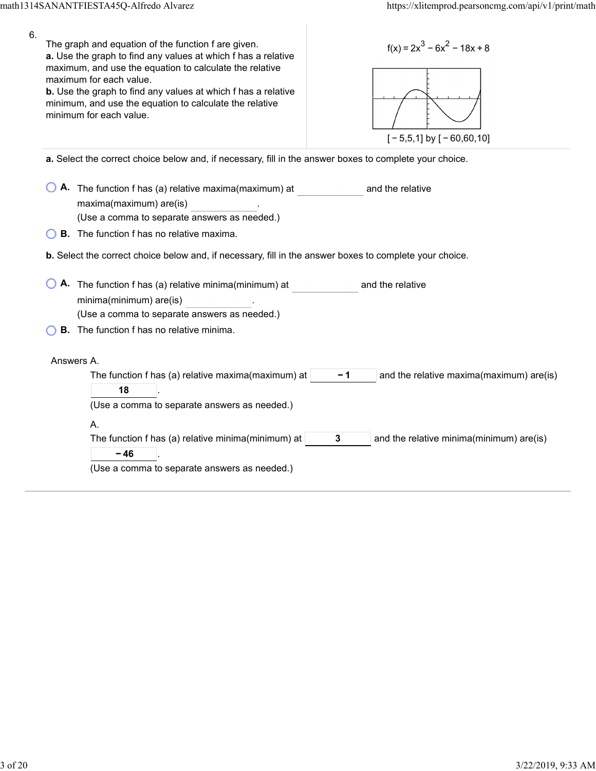| 6. | The graph and equation of the function f are given.<br>a. Use the graph to find any values at which f has a relative<br>maximum, and use the equation to calculate the relative<br>maximum for each value.<br><b>b.</b> Use the graph to find any values at which f has a relative<br>minimum, and use the equation to calculate the relative<br>minimum for each value. | $f(x) = 2x^3 - 6x^2 - 18x + 8$<br>$[-5,5,1]$ by $[-60,60,10]$                                     |  |  |  |
|----|--------------------------------------------------------------------------------------------------------------------------------------------------------------------------------------------------------------------------------------------------------------------------------------------------------------------------------------------------------------------------|---------------------------------------------------------------------------------------------------|--|--|--|
|    | a. Select the correct choice below and, if necessary, fill in the answer boxes to complete your choice.                                                                                                                                                                                                                                                                  |                                                                                                   |  |  |  |
|    | A. The function f has (a) relative maxima(maximum) at<br>maxima(maximum) are(is)<br>(Use a comma to separate answers as needed.)                                                                                                                                                                                                                                         | and the relative                                                                                  |  |  |  |
|    | <b>B.</b> The function f has no relative maxima.                                                                                                                                                                                                                                                                                                                         |                                                                                                   |  |  |  |
|    |                                                                                                                                                                                                                                                                                                                                                                          |                                                                                                   |  |  |  |
|    | b. Select the correct choice below and, if necessary, fill in the answer boxes to complete your choice.                                                                                                                                                                                                                                                                  |                                                                                                   |  |  |  |
|    | A. The function f has (a) relative minima(minimum) at<br>minima(minimum) are(is)                                                                                                                                                                                                                                                                                         | and the relative                                                                                  |  |  |  |
|    | (Use a comma to separate answers as needed.)                                                                                                                                                                                                                                                                                                                             |                                                                                                   |  |  |  |
|    | <b>B.</b> The function f has no relative minima.                                                                                                                                                                                                                                                                                                                         |                                                                                                   |  |  |  |
|    | Answers A.<br>The function f has (a) relative maxima(maximum) at $ $<br>18<br>(Use a comma to separate answers as needed.)<br>А.<br>The function f has (a) relative minima(minimum) at<br>$-46$<br>(Use a comma to separate answers as needed.)                                                                                                                          | $-1$<br>and the relative maxima(maximum) are(is)<br>3<br>and the relative minima(minimum) are(is) |  |  |  |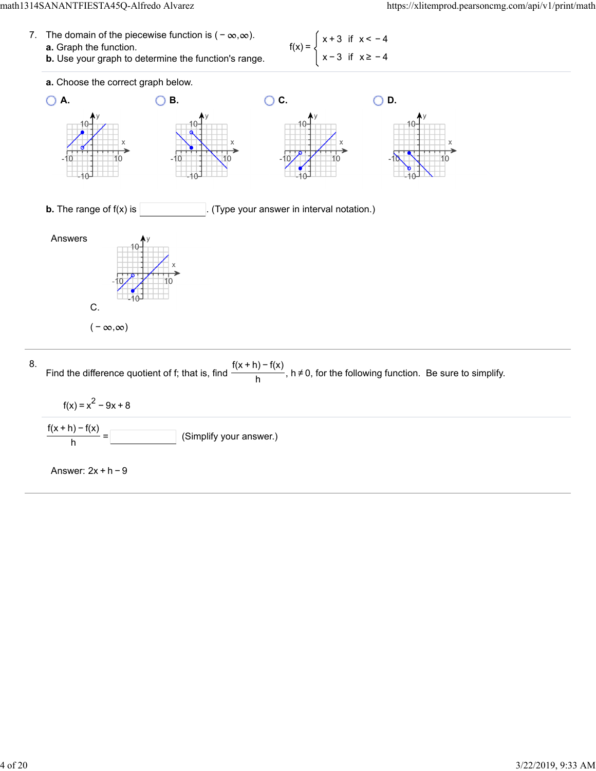7. The domain of the piecewise function is  $(-\infty, \infty)$ . **a.** Graph the function. **b.** Use your graph to determine the function's range.  $f(x) =$ x + 3 if x < − 4 x − 3 if x ≥ − 4



$$
f(x) = x2 - 9x + 8
$$
  

$$
\frac{f(x+h) - f(x)}{h} =
$$
 (Simplify your answer.)

Answer: 2x + h − 9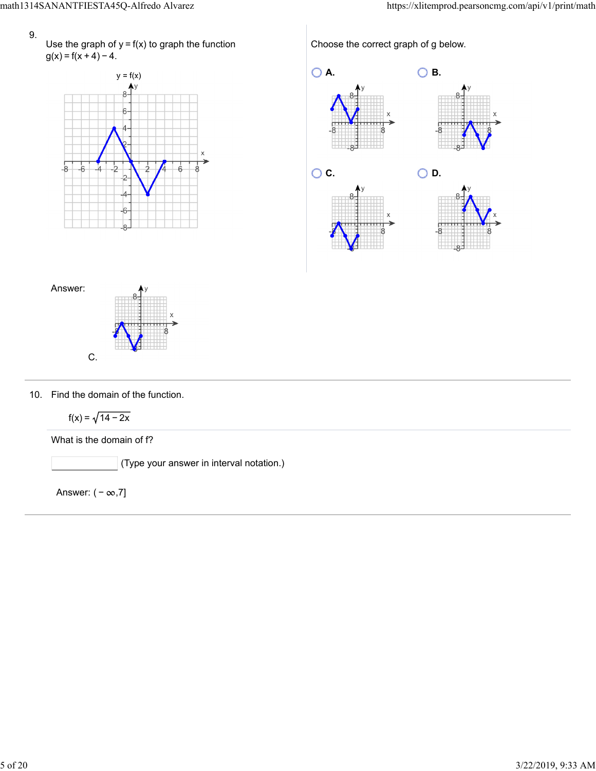Use the graph of  $y = f(x)$  to graph the function  $g(x) = f(x + 4) - 4.$ 



Choose the correct graph of g below.





10. Find the domain of the function.

$$
f(x) = \sqrt{14-2x}
$$

What is the domain of f?

(Type your answer in interval notation.)

Answer:  $(-\infty,7]$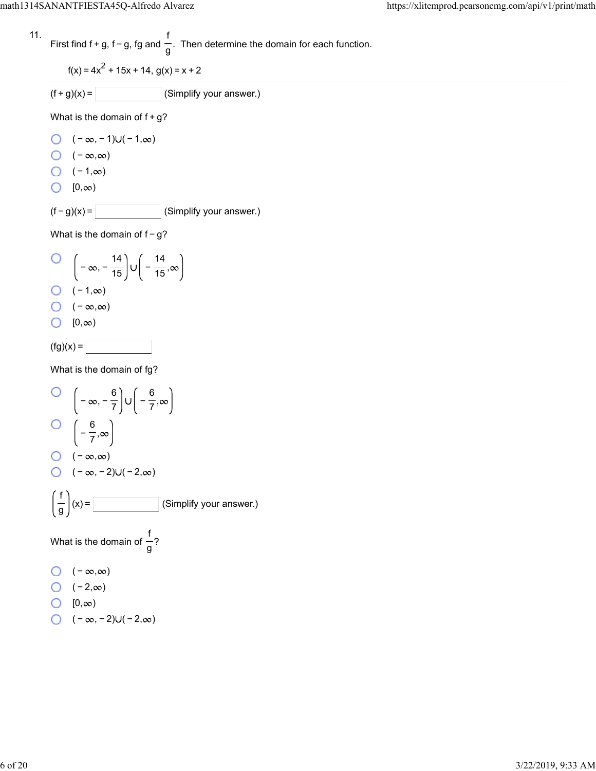11. First find 
$$
f + g
$$
,  $f - g$ ,  $fg$  and  $\frac{f}{g}$ . Then determine the domain for each function.

$$
f(x) = 4x^2 + 15x + 14, g(x) = x + 2
$$

 $(f+g)(x) =$  (Simplify your answer.)

What is the domain of  $f+g$ ?

- $\bigcirc$   $(-\infty, -1) \cup (-1, \infty)$
- $\bigcirc$  ( − ∞,∞)
- $\bigcirc$  (-1, $\infty$ )
- $\bigcirc$   $[0, \infty)$

 $(f - g)(x) =$  (Simplify your answer.)

What is the domain of  $f-g$ ?

O 
$$
\left(-\infty, -\frac{14}{15}\right) \cup \left(-\frac{14}{15}, \infty\right)
$$
  
O  $\left(-1, \infty\right)$   
O  $\left(-\infty, \infty\right)$   
O  $\left[0, \infty\right)$   
(fg)(x) =

What is the domain of fg?

O 
$$
\left(-\infty, -\frac{6}{7}\right) \cup \left(-\frac{6}{7}, \infty\right)
$$
  
\nO  $\left(-\frac{6}{7}, \infty\right)$   
\nO  $\left(-\infty, \infty\right)$   
\nO  $\left(-\infty, -2\right) \cup \left(-2, \infty\right)$   
\n $\left(\frac{f}{g}\right)(x) =$  (Simplify your answer.)  
\nWhat is the domain of  $\frac{f}{g}$ ?  
\nO  $\left(-\infty, \infty\right)$   
\nO  $\left(-2, \infty\right)$   
\nO  $\left(-\infty, -2\right) \cup \left(-2, \infty\right)$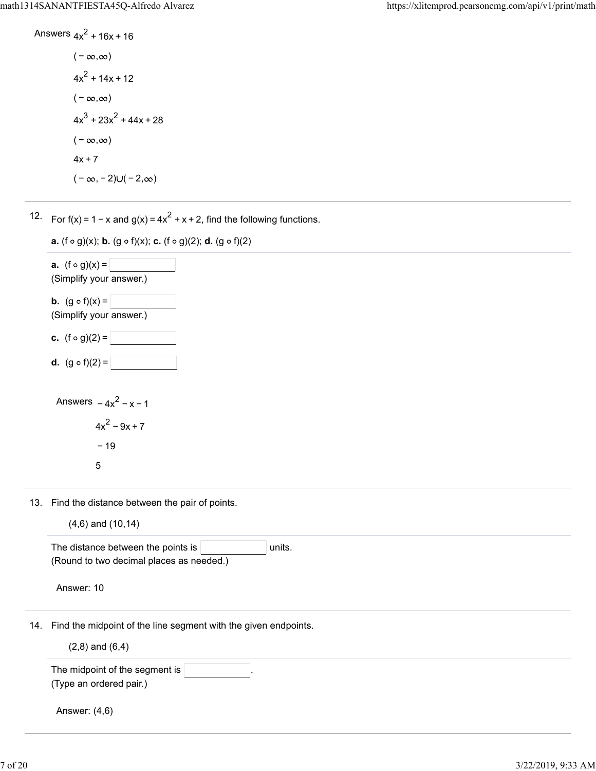Answers 
$$
4x^2 + 16x + 16
$$
  
\n $(-\infty, \infty)$   
\n $4x^2 + 14x + 12$   
\n $(-\infty, \infty)$   
\n $4x^3 + 23x^2 + 44x + 28$   
\n $(-\infty, \infty)$   
\n $4x + 7$ 

 $(-\infty, -2) \cup (-2, \infty)$ 

12. For  $f(x) = 1 - x$  and  $g(x) = 4x^2 + x + 2$ , find the following functions.



13. Find the distance between the pair of points.

|  | $(4,6)$ and $(10,14)$ |
|--|-----------------------|
|  |                       |

|     | The distance between the points is<br>units.                    |
|-----|-----------------------------------------------------------------|
|     | (Round to two decimal places as needed.)                        |
|     | Answer: 10                                                      |
| 14. | Find the midpoint of the line segment with the given endpoints. |
|     | $(2,8)$ and $(6,4)$                                             |
|     | The midpoint of the segment is                                  |
|     | (Type an ordered pair.)                                         |
|     | Answer: (4,6)                                                   |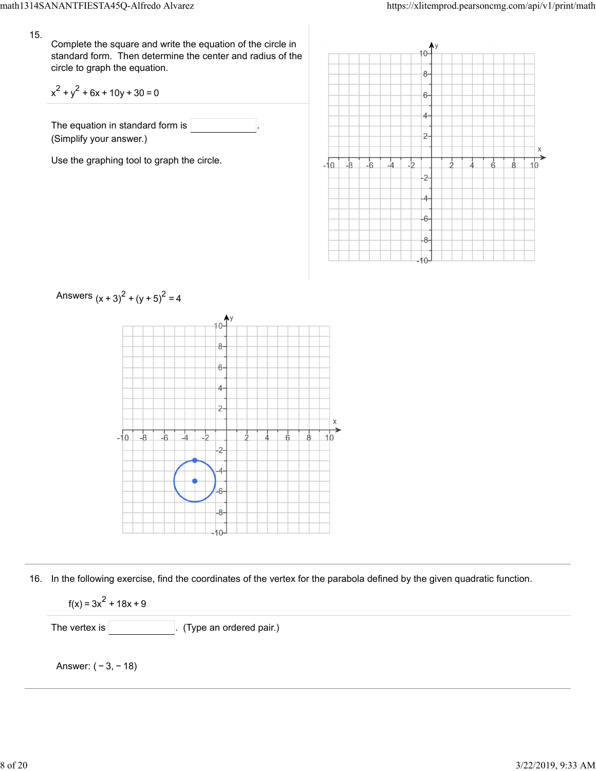Complete the square and write the equation of the circle in standard form. Then determine the center and radius of the circle to graph the equation.

$$
x^2 + y^2 + 6x + 10y + 30 = 0
$$

The equation in standard form is (Simplify your answer.)

Use the graphing tool to graph the circle.





16. In the following exercise, find the coordinates of the vertex for the parabola defined by the given quadratic function.

 $f(x) = 3x^2 + 18x + 9$ 

The vertex is . (Type an ordered pair.)

Answer: ( − 3, − 18)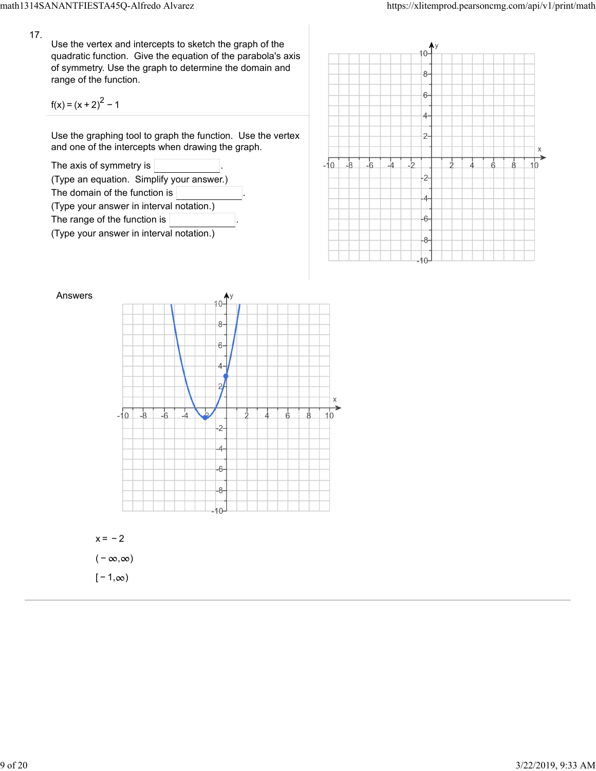Use the vertex and intercepts to sketch the graph of the quadratic function. Give the equation of the parabola's axis of symmetry. Use the graph to determine the domain and range of the function.

$$
f(x) = (x + 2)^{2} - 1
$$

Use the graphing tool to graph the function. Use the vertex and one of the intercepts when drawing the graph.







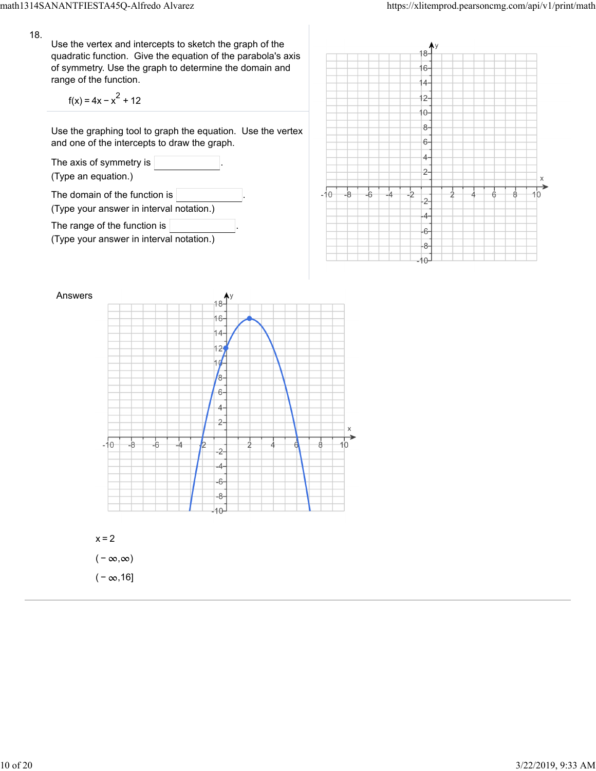Use the vertex and intercepts to sketch the graph of the quadratic function. Give the equation of the parabola's axis of symmetry. Use the graph to determine the domain and range of the function.

$$
f(x) = 4x - x^2 + 12
$$

 $(-\infty, 16]$ 

Use the graphing tool to graph the equation. Use the vertex and one of the intercepts to draw the graph.





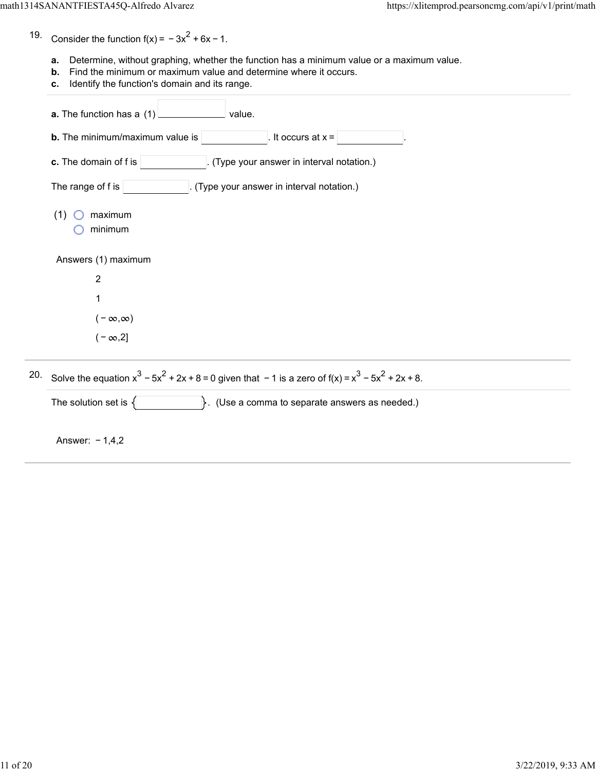- 19. Consider the function  $f(x) = -3x^2 + 6x - 1$ .
	- **a.** Determine, without graphing, whether the function has a minimum value or a maximum value.
	- **b.** Find the minimum or maximum value and determine where it occurs.
	- **c.** Identify the function's domain and its range.

|     | a. The function has a (1)<br>value.                                                                      |
|-----|----------------------------------------------------------------------------------------------------------|
|     | <b>b.</b> The minimum/maximum value is<br>It occurs at $x =$                                             |
|     | c. The domain of f is<br>. (Type your answer in interval notation.)                                      |
|     | The range of f is<br>(Type your answer in interval notation.)                                            |
|     | (1)<br>maximum<br>minimum                                                                                |
|     | Answers (1) maximum                                                                                      |
|     | $\overline{2}$                                                                                           |
|     |                                                                                                          |
|     | $(-\infty,\infty)$                                                                                       |
|     | $(-\infty,2]$                                                                                            |
| 20. | Solve the equation $x^3 - 5x^2 + 2x + 8 = 0$ given that $-1$ is a zero of $f(x) = x^3 - 5x^2 + 2x + 8$ . |

The solution set is  $\{$   $\}$ . (Use a comma to separate answers as needed.)

Answer: − 1,4,2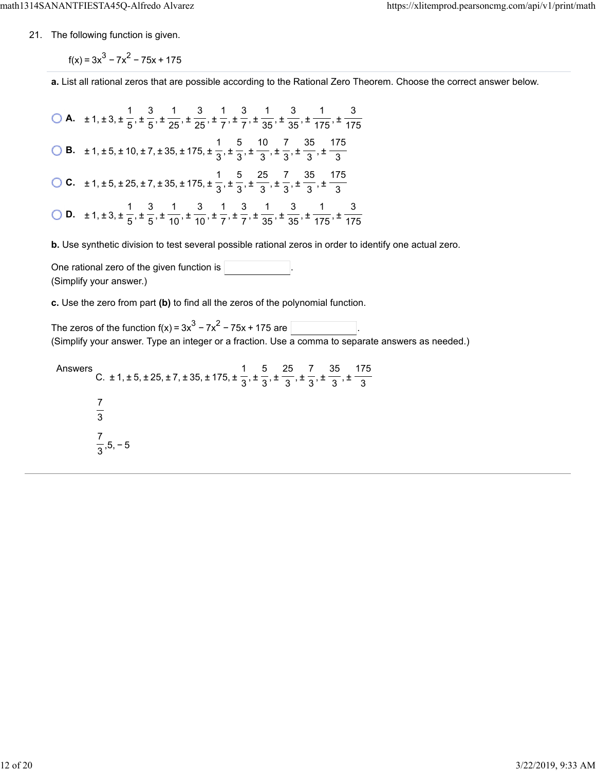21. The following function is given.

 $f(x) = 3x^{3} - 7x^{2} - 75x + 175$ 

**a.** List all rational zeros that are possible according to the Rational Zero Theorem. Choose the correct answer below.

**A.**  $\pm 1, \pm 3, \pm \frac{1}{5}, \pm \frac{3}{65}, \pm \frac{1}{25}, \pm \frac{3}{75}, \pm \frac{1}{75}, \pm \frac{3}{25}, \pm \frac{1}{25}, \pm \frac{3}{25}, \pm \frac{1}{25}$  **B.**  $\pm 1, \pm 5, \pm 10, \pm 7, \pm 35, \pm 175, \pm \frac{1}{2}, \pm \frac{5}{2}, \pm \frac{10}{2}, \pm \frac{7}{2}, \pm \frac{35}{2}, \pm \frac{10}{2}$  **C.**  $\pm 1, \pm 5, \pm 25, \pm 7, \pm 35, \pm 175, \pm \frac{1}{2}, \pm \frac{5}{2}, \pm \frac{25}{2}, \pm \frac{7}{2}, \pm \frac{35}{2}, \pm \frac{1}{2}$  **D.**  $\pm 1, \pm 3, \pm \frac{1}{5}, \pm \frac{3}{5}, \pm \frac{1}{40}, \pm \frac{3}{7}, \pm \frac{1}{7}, \pm \frac{3}{75}, \pm \frac{1}{25}, \pm \frac{3}{75}, \pm \frac{1}{75}$  

**b.** Use synthetic division to test several possible rational zeros in order to identify one actual zero.

One rational zero of the given function is . (Simplify your answer.)

**c.** Use the zero from part **(b)** to find all the zeros of the polynomial function.

The zeros of the function f(x) =  $3x^3 - 7x^2 - 75x + 175$  are  $\overline{\phantom{a}}$ (Simplify your answer. Type an integer or a fraction. Use a comma to separate answers as needed.)

Answers C.  $\pm$  1,  $\pm$  5,  $\pm$  25,  $\pm$  7,  $\pm$  35,  $\pm$  175,  $\pm$   $\frac{1}{2}$ ,  $\pm$   $\frac{1}{2}$ ,  $\pm$   $\frac{1}{2}$ ,  $\pm$   $\frac{1}{2}$ ,  $\pm$  ,5, − 5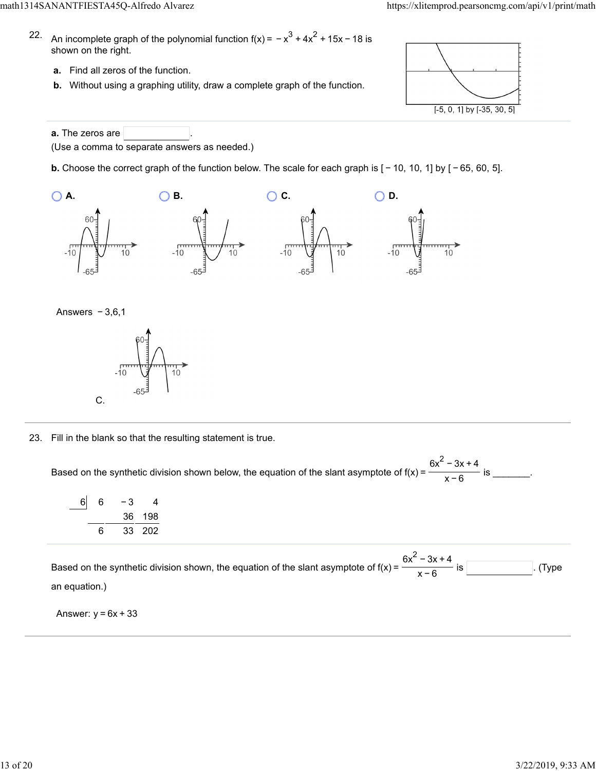- 22. An incomplete graph of the polynomial function f(x) =  $-x^3 + 4x^2 + 15x - 18$  is shown on the right.
	- **a.** Find all zeros of the function.
	- **b.** Without using a graphing utility, draw a complete graph of the function.



**a.** The zeros are (Use a comma to separate answers as needed.)

**b.** Choose the correct graph of the function below. The scale for each graph is [ − 10, 10, 1] by [ − 65, 60, 5].

![](_page_12_Figure_8.jpeg)

![](_page_12_Figure_9.jpeg)

![](_page_12_Figure_10.jpeg)

23. Fill in the blank so that the resulting statement is true.

Based on the synthetic division shown below, the equation of the slant asymptote of  $f(x) = \frac{1}{x}$  for  $\frac{1}{x}$  is \_\_\_\_\_\_\_.  $6x^2 - 3x + 4$ x−6

| 6l | 6 | - 3 | 4      |
|----|---|-----|--------|
|    |   |     | 36 198 |
|    | 6 |     | 33 202 |

Based on the synthetic division shown, the equation of the slant asymptote of  $f(x) =$  .  $\frac{1}{x}$  is . (Type an equation.)  $6x^2 - 3x + 4$ x−6

Answer:  $y = 6x + 33$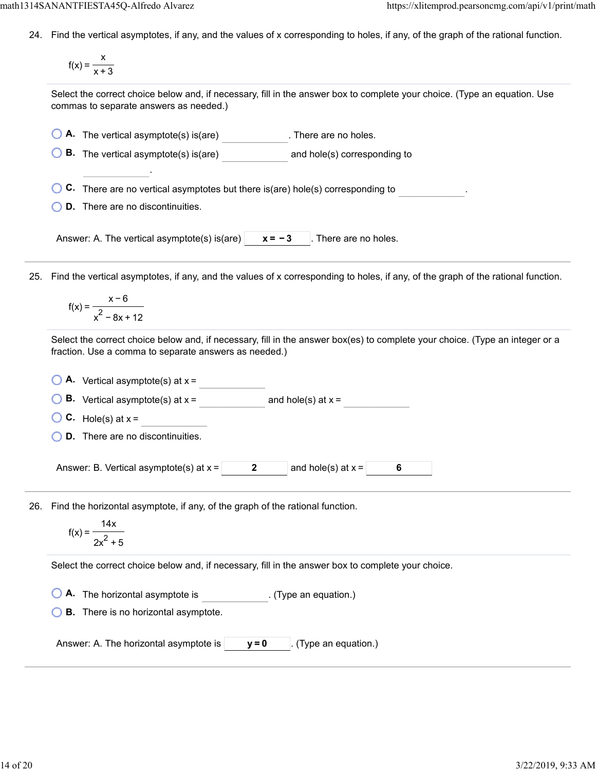24. Find the vertical asymptotes, if any, and the values of x corresponding to holes, if any, of the graph of the rational function.

$$
f(x) = \frac{x}{x+3}
$$

Select the correct choice below and, if necessary, fill in the answer box to complete your choice. (Type an equation. Use commas to separate answers as needed.)

**A.** The vertical asymptote(s) is(are) **Ca.** There are no holes.

**B.** The vertical asymptote(s) is(are) and hole(s) corresponding to

**C.** There are no vertical asymptotes but there is(are) hole(s) corresponding to .

**D.** There are no discontinuities.

.

Answer: A. The vertical asymptote(s) is(are)  $\vert x = -3 \vert$ . There are no holes.

25. Find the vertical asymptotes, if any, and the values of x corresponding to holes, if any, of the graph of the rational function.

$$
f(x) = \frac{x - 6}{x^2 - 8x + 12}
$$

Select the correct choice below and, if necessary, fill in the answer box(es) to complete your choice. (Type an integer or a fraction. Use a comma to separate answers as needed.)

| $\bigcirc$ <b>A.</b> Vertical asymptote(s) at $x =$ |  |
|-----------------------------------------------------|--|
|                                                     |  |

**B.** Vertical asymptote(s) at  $x =$  and hole(s) at  $x =$ 

**C.** Hole(s) at  $x =$ 

**D.** There are no discontinuities.

Answer: B. Vertical asymptote(s) at  $x = \begin{vmatrix} 2 & 2 \end{vmatrix}$  and hole(s) at  $x = \begin{vmatrix} 6 & 1 \end{vmatrix}$ 

26. Find the horizontal asymptote, if any, of the graph of the rational function.

$$
f(x) = \frac{14x}{2x^2 + 5}
$$

Select the correct choice below and, if necessary, fill in the answer box to complete your choice.

**A.** The horizontal asymptote is . (Type an equation.)

**B.** There is no horizontal asymptote.

Answer: A. The horizontal asymptote is  $\vert$   $\vert$  **y** = 0  $\vert$  (Type an equation.)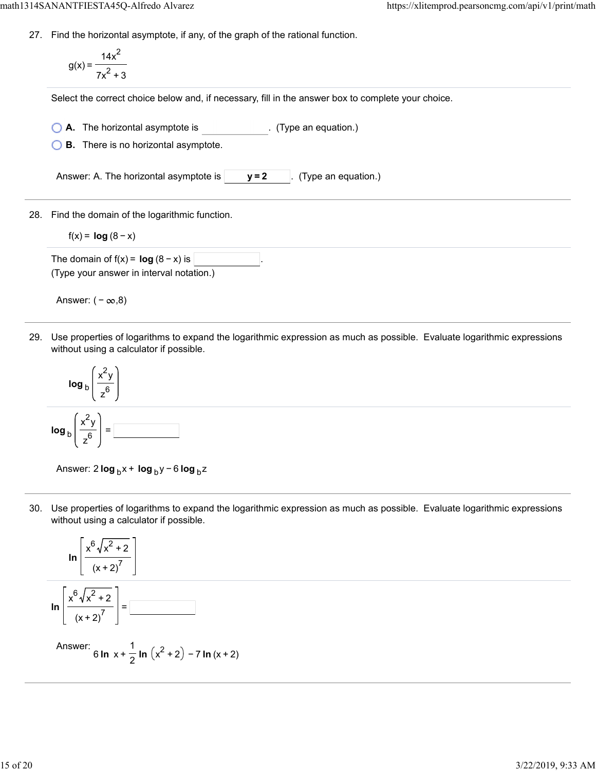27. Find the horizontal asymptote, if any, of the graph of the rational function.

$$
g(x) = \frac{14x^2}{7x^2 + 3}
$$

Select the correct choice below and, if necessary, fill in the answer box to complete your choice.

**A.** The horizontal asymptote is . (Type an equation.)

**B.** There is no horizontal asymptote.

Answer: A. The horizontal asymptote is  $\vert$   $\vert$  **y** = 2  $\vert$  (Type an equation.)

28. Find the domain of the logarithmic function.

 $f(x) = log (8 - x)$ 

The domain of  $f(x) = \log (8 - x)$  is (Type your answer in interval notation.)

Answer:  $(-\infty, 8)$ 

29. Use properties of logarithms to expand the logarithmic expression as much as possible. Evaluate logarithmic expressions without using a calculator if possible.

![](_page_14_Figure_13.jpeg)

Answer: 2 **log** <sub>b</sub> x + **log** <sub>b</sub> y − 6 **log** <sub>b</sub> z

30. Use properties of logarithms to expand the logarithmic expression as much as possible. Evaluate logarithmic expressions without using a calculator if possible.

![](_page_14_Figure_16.jpeg)

Answer: 6 **ln**  $x + \frac{1}{2}$  **ln**  $(x^2 + 2) - 7$  **ln**  $(x + 2)$ 1 2 2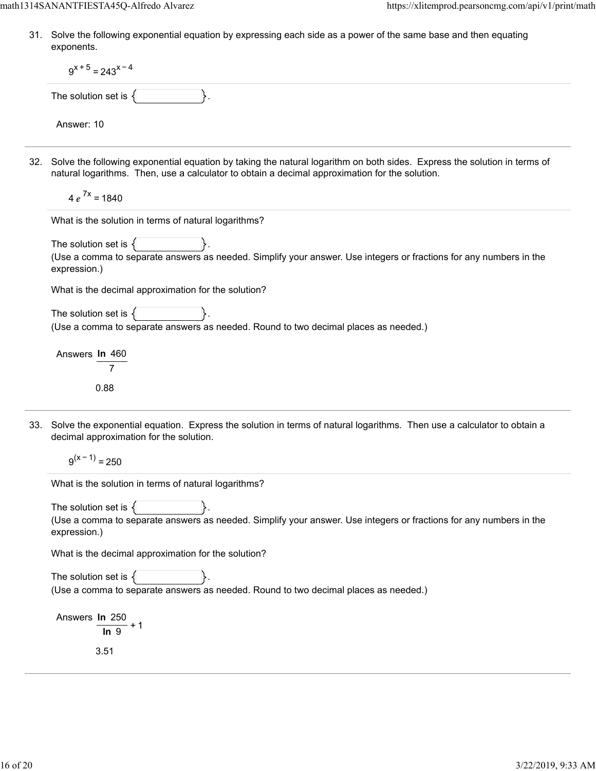31. Solve the following exponential equation by expressing each side as a power of the same base and then equating exponents.

| $9^{x+5}$ = 243 <sup>x-4</sup>                                                                                                                                                                                                 |
|--------------------------------------------------------------------------------------------------------------------------------------------------------------------------------------------------------------------------------|
| The solution set is $\{$<br>₿.                                                                                                                                                                                                 |
| Answer: 10                                                                                                                                                                                                                     |
| 32. Solve the following exponential equation by taking the natural logarithm on both sides. Express the solution in terms of<br>natural logarithms. Then, use a calculator to obtain a decimal approximation for the solution. |
| $4e^{7x} = 1840$                                                                                                                                                                                                               |
| What is the solution in terms of natural logarithms?                                                                                                                                                                           |
| The solution set is $\{$                                                                                                                                                                                                       |
| (Use a comma to separate answers as needed. Simplify your answer. Use integers or fractions for any numbers in the<br>expression.)                                                                                             |
| What is the decimal approximation for the solution?                                                                                                                                                                            |
| The solution set is $\{$<br>(Use a comma to separate answers as needed. Round to two decimal places as needed.)                                                                                                                |
| Answers In 460                                                                                                                                                                                                                 |
| 0.88                                                                                                                                                                                                                           |
| 33. Solve the exponential equation. Express the solution in terms of natural logarithms. Then use a calculator to obtain a<br>decimal approximation for the solution.                                                          |
| $9^{(x-1)} = 250$                                                                                                                                                                                                              |
| What is the solution in terms of natural logarithms?                                                                                                                                                                           |
| The solution set is                                                                                                                                                                                                            |
| (Use a comma to separate answers as needed. Simplify your answer. Use integers or fractions for any numbers in the<br>expression.)                                                                                             |
| What is the decimal approximation for the solution?                                                                                                                                                                            |
| The solution set is $\{$<br>(Use a comma to separate answers as needed. Round to two decimal places as needed.)                                                                                                                |
| Answers In 250<br>In <sub>9</sub>                                                                                                                                                                                              |
| 3.51                                                                                                                                                                                                                           |
|                                                                                                                                                                                                                                |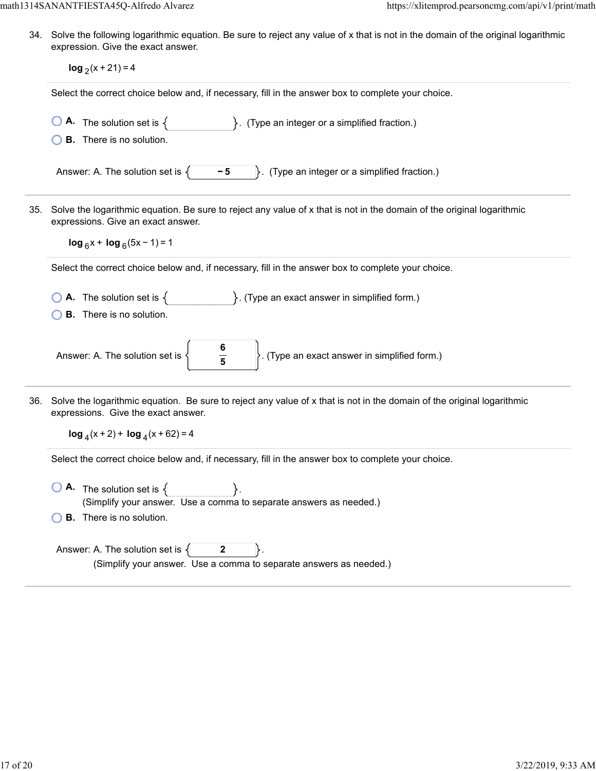34. Solve the following logarithmic equation. Be sure to reject any value of x that is not in the domain of the original logarithmic expression. Give the exact answer.

|                                    | $log_2(x + 21) = 4$                                                                                                                                                                              |  |  |  |  |
|------------------------------------|--------------------------------------------------------------------------------------------------------------------------------------------------------------------------------------------------|--|--|--|--|
|                                    | Select the correct choice below and, if necessary, fill in the answer box to complete your choice.                                                                                               |  |  |  |  |
|                                    | <b>A.</b> The solution set is $\{$<br>$\}$ . (Type an integer or a simplified fraction.)<br><b>B.</b> There is no solution.                                                                      |  |  |  |  |
|                                    | $-5$<br>$\}$ . (Type an integer or a simplified fraction.)<br>Answer: A. The solution set is $\{$                                                                                                |  |  |  |  |
| 35.                                | Solve the logarithmic equation. Be sure to reject any value of x that is not in the domain of the original logarithmic<br>expressions. Give an exact answer.<br>$\log_6 x + \log_6 (5x - 1) = 1$ |  |  |  |  |
|                                    | Select the correct choice below and, if necessary, fill in the answer box to complete your choice.                                                                                               |  |  |  |  |
|                                    | <b>A.</b> The solution set is $\{$ $\}$ . (Type an exact answer in simplified form.)<br><b>B.</b> There is no solution.                                                                          |  |  |  |  |
|                                    | $\frac{6}{5}$<br>$\left\vert \rule{0pt}{10pt}\right\vert$ . (Type an exact answer in simplified form.)<br>Answer: A. The solution set is {                                                       |  |  |  |  |
| 36.                                | Solve the logarithmic equation. Be sure to reject any value of x that is not in the domain of the original logarithmic<br>expressions. Give the exact answer.                                    |  |  |  |  |
| $\log_4(x+2)$ + $\log_4(x+62)$ = 4 |                                                                                                                                                                                                  |  |  |  |  |
|                                    | Select the correct choice below and, if necessary, fill in the answer box to complete your choice.                                                                                               |  |  |  |  |
|                                    | $\bigcirc$ <b>A</b> . The solution set is $\{$<br>(Simplify your answer. Use a comma to separate answers as needed.)<br><b>B.</b> There is no solution.                                          |  |  |  |  |
|                                    | Answer: A. The solution set is $\{$<br>$\mathbf{2}$<br>(Simplify your answer. Use a comma to separate answers as needed.)                                                                        |  |  |  |  |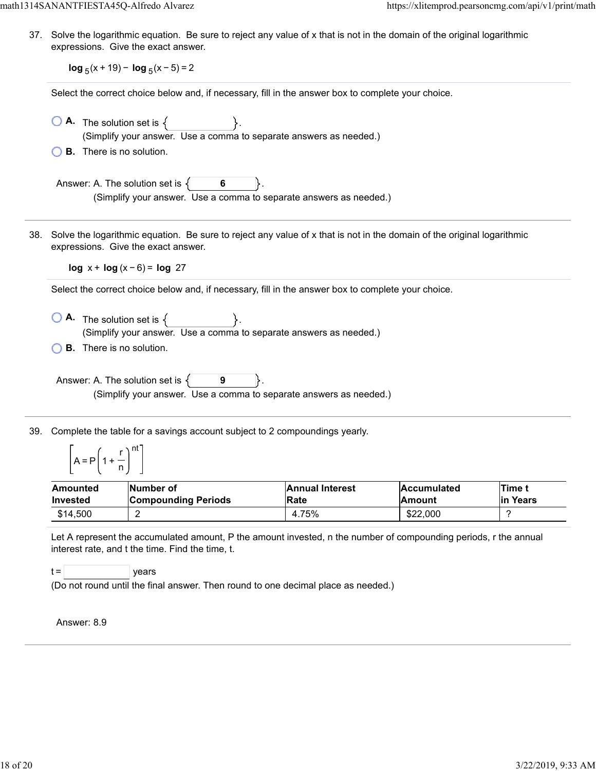37. Solve the logarithmic equation. Be sure to reject any value of x that is not in the domain of the original logarithmic expressions. Give the exact answer.

**log**  $_5$ (x + 19) − **log**  $_5$ (x − 5) = 2

Select the correct choice below and, if necessary, fill in the answer box to complete your choice.

| $\bigcirc$ A. The solution set is $\{$     |                                                                    |
|--------------------------------------------|--------------------------------------------------------------------|
|                                            | (Simplify your answer. Use a comma to separate answers as needed.) |
| $\bigcirc$ <b>B.</b> There is no solution. |                                                                    |

Answer: A. The solution set is  $\{ \}$  6 (Simplify your answer. Use a comma to separate answers as needed.)

38. Solve the logarithmic equation. Be sure to reject any value of x that is not in the domain of the original logarithmic expressions. Give the exact answer.

**log** x + **log** (x − 6) = **log** 27

Select the correct choice below and, if necessary, fill in the answer box to complete your choice.

- $\bigcirc$  **A.** The solution set is  $\{ \}$ . (Simplify your answer. Use a comma to separate answers as needed.)
- **B.** There is no solution.

Answer: A. The solution set is  $\{$ **9** (Simplify your answer. Use a comma to separate answers as needed.)

39. Complete the table for a savings account subject to 2 compoundings yearly.

$$
\left[A = P\left(1 + \frac{r}{n}\right)^{nt}\right]
$$

| Amounted        | Number of                  | <b>Annual Interest</b> | <b>Accumulated</b> | Time t    |
|-----------------|----------------------------|------------------------|--------------------|-----------|
| <b>Invested</b> | <b>Compounding Periods</b> | <b>IRate</b>           | <b>Amount</b>      | lin Years |
| \$14.500        | c                          | 4.75%                  | \$22,000           |           |

Let A represent the accumulated amount, P the amount invested, n the number of compounding periods, r the annual interest rate, and t the time. Find the time, t.

 $t =$  | years

(Do not round until the final answer. Then round to one decimal place as needed.)

Answer: 8.9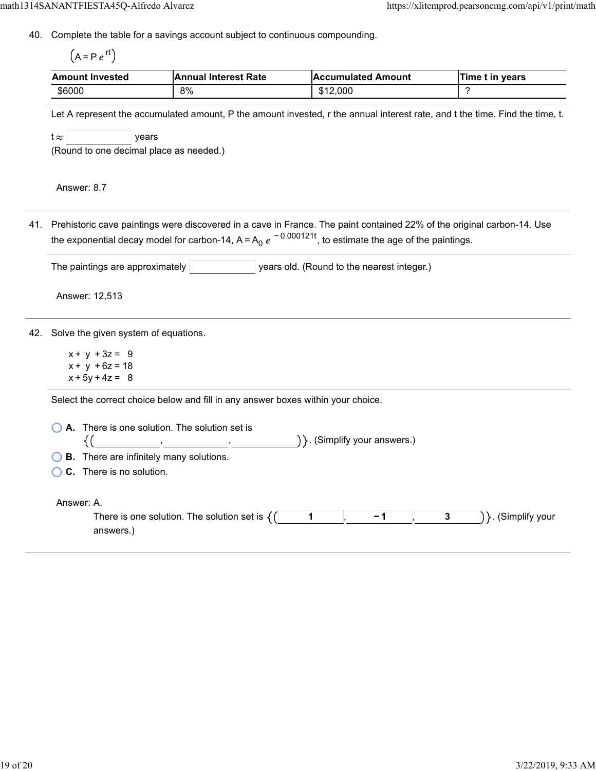40. Complete the table for a savings account subject to continuous compounding.

 $(A = Pe^{rt})$ 

| <b>Amount Invested</b> | <b>IAnnual Interest Rate</b> | <b>Accumulated Amount</b> | Time t in vears |
|------------------------|------------------------------|---------------------------|-----------------|
| \$6000                 | 8%                           | \$12,000                  |                 |

Let A represent the accumulated amount, P the amount invested, r the annual interest rate, and t the time. Find the time, t.

 $t \approx$  years

(Round to one decimal place as needed.)

Answer: 8.7

41. Prehistoric cave paintings were discovered in a cave in France. The paint contained 22% of the original carbon-14. Use the exponential decay model for carbon-14, A=A<sub>0</sub>  $e^{\,-\,0.000121t}$ , to estimate the age of the paintings.

| The paintings are approximately |  | years old. (Round to the nearest integer.) |
|---------------------------------|--|--------------------------------------------|
|                                 |  |                                            |

Answer: 12,513

42. Solve the given system of equations.

 $x + y + 3z = 9$  $x + y + 6z = 18$  $x + 5y + 4z = 8$ 

Select the correct choice below and fill in any answer boxes within your choice.

| $\bigcirc$ A. There is one solution. The solution set is       | $\}$ . (Simplify your answers.)    |
|----------------------------------------------------------------|------------------------------------|
| $\bigcirc$ <b>B</b> . There are infinitely many solutions.     |                                    |
| $\bigcirc$ C. There is no solution.                            |                                    |
| Answer: A.                                                     |                                    |
| There is one solution. The solution set is $\{()$<br>answers.) | 3<br>$\}$ . (Simplify your<br>$-1$ |